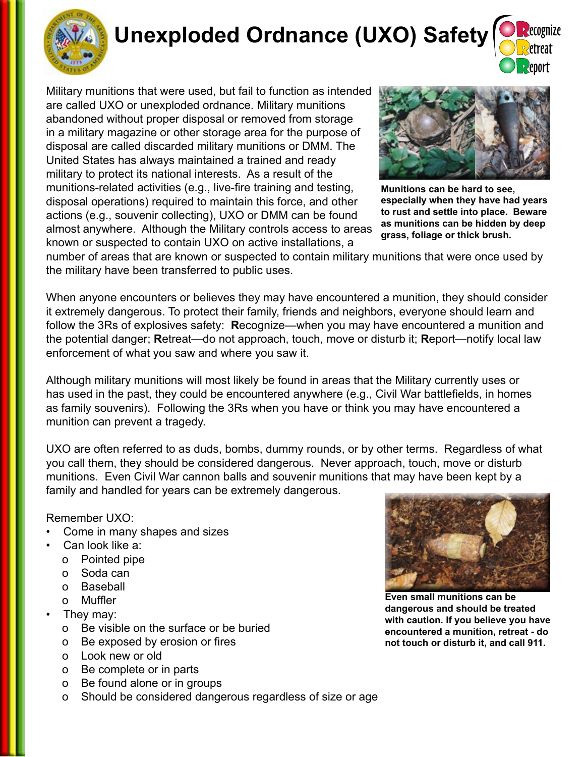

# **Unexploded Ordnance (UXO) Safety**

R R R ecognize etreat eport

Military munitions that were used, but fail to function as intended are called UXO or unexploded ordnance. Military munitions abandoned without proper disposal or removed from storage in a military magazine or other storage area for the purpose of disposal are called discarded military munitions or DMM. The United States has always maintained a trained and ready military to protect its national interests. As a result of the munitions-related activities (e.g., live-fire training and testing, disposal operations) required to maintain this force, and other actions (e.g., souvenir collecting), UXO or DMM can be found almost anywhere. Although the Military controls access to areas known or suspected to contain UXO on active installations, a



**Munitions can be hard to see, especially when they have had years to rust and settle into place. Beware as munitions can be hidden by deep grass, foliage or thick brush.** 

number of areas that are known or suspected to contain military munitions that were once used by the military have been transferred to public uses.

When anyone encounters or believes they may have encountered a munition, they should consider it extremely dangerous. To protect their family, friends and neighbors, everyone should learn and follow the 3Rs of explosives safety: **R**ecognize—when you may have encountered a munition and the potential danger; **R**etreat—do not approach, touch, move or disturb it; **R**eport—notify local law enforcement of what you saw and where you saw it.

Although military munitions will most likely be found in areas that the Military currently uses or has used in the past, they could be encountered anywhere (e.g., Civil War battlefields, in homes as family souvenirs). Following the 3Rs when you have or think you may have encountered a munition can prevent a tragedy.

UXO are often referred to as duds, bombs, dummy rounds, or by other terms. Regardless of what you call them, they should be considered dangerous. Never approach, touch, move or disturb munitions. Even Civil War cannon balls and souvenir munitions that may have been kept by a family and handled for years can be extremely dangerous.

#### Remember UXO:

- Come in many shapes and sizes
- Can look like a:
	- o Pointed pipe
	- o Soda can
	- o Baseball
	- o Muffler
- They may:
	- o Be visible on the surface or be buried
	- o Be exposed by erosion or fires
	- o Look new or old
	- o Be complete or in parts
	- o Be found alone or in groups
	- o Should be considered dangerous regardless of size or age



**Even small munitions can be dangerous and should be treated with caution. If you believe you have encountered a munition, retreat - do not touch or disturb it, and call 911.**